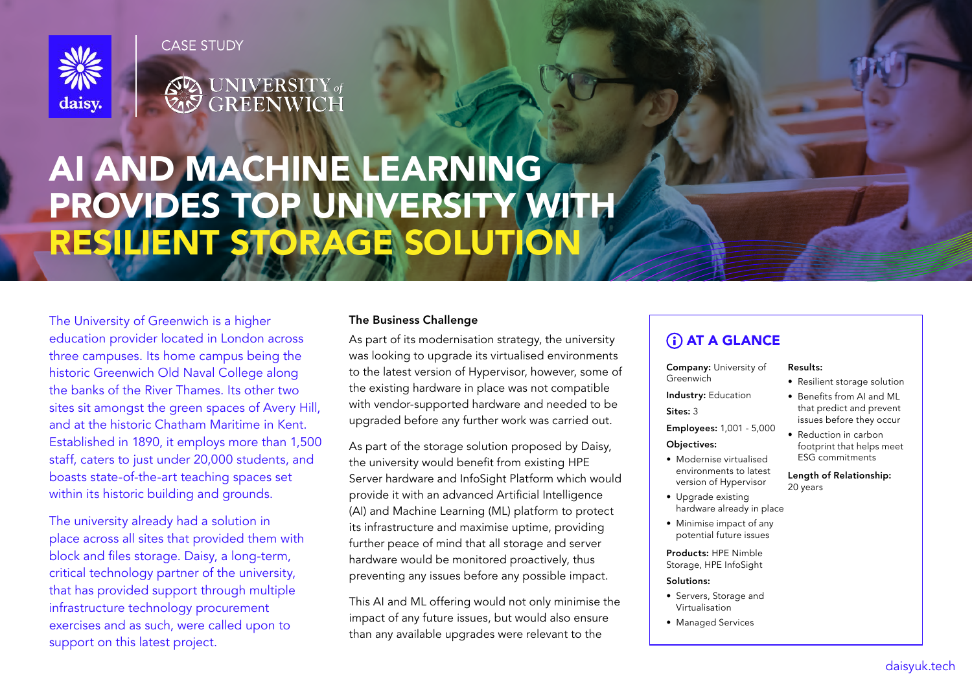

**CASE STUDY** 

# **SEA UNIVERSITY** of

## AI AND MACHINE LEARNING PROVIDES TOP UNIVERSITY WITH RESILIENT STORAGE SOLUTION

The University of Greenwich is a higher education provider located in London across three campuses. Its home campus being the historic Greenwich Old Naval College along the banks of the River Thames. Its other two sites sit amongst the green spaces of Avery Hill, and at the historic Chatham Maritime in Kent. Established in 1890, it employs more than 1,500 staff, caters to just under 20,000 students, and boasts state-of-the-art teaching spaces set within its historic building and grounds.

The university already had a solution in place across all sites that provided them with block and files storage. Daisy, a long-term, critical technology partner of the university, that has provided support through multiple infrastructure technology procurement exercises and as such, were called upon to support on this latest project.

#### The Business Challenge

As part of its modernisation strategy, the university was looking to upgrade its virtualised environments to the latest version of Hypervisor, however, some of the existing hardware in place was not compatible with vendor-supported hardware and needed to be upgraded before any further work was carried out.

As part of the storage solution proposed by Daisy, the university would benefit from existing HPE Server hardware and InfoSight Platform which would provide it with an advanced Artificial Intelligence (AI) and Machine Learning (ML) platform to protect its infrastructure and maximise uptime, providing further peace of mind that all storage and server hardware would be monitored proactively, thus preventing any issues before any possible impact.

This AI and ML offering would not only minimise the impact of any future issues, but would also ensure than any available upgrades were relevant to the

### **(i) AT A GLANCE**

Company: University of Greenwich

- Resilient storage solution
- Industry: Education Sites: 3
- Employees: 1,001 5,000 Objectives:
- Modernise virtualised environments to latest version of Hypervisor
- Upgrade existing hardware already in place
- Minimise impact of any potential future issues

Products: HPE Nimble Storage, HPE InfoSight

#### Solutions:

- Servers, Storage and Virtualisation
- Managed Services

Results:

- Benefits from AI and ML that predict and prevent issues before they occur
- Reduction in carbon footprint that helps meet ESG commitments

Length of Relationship: 20 years